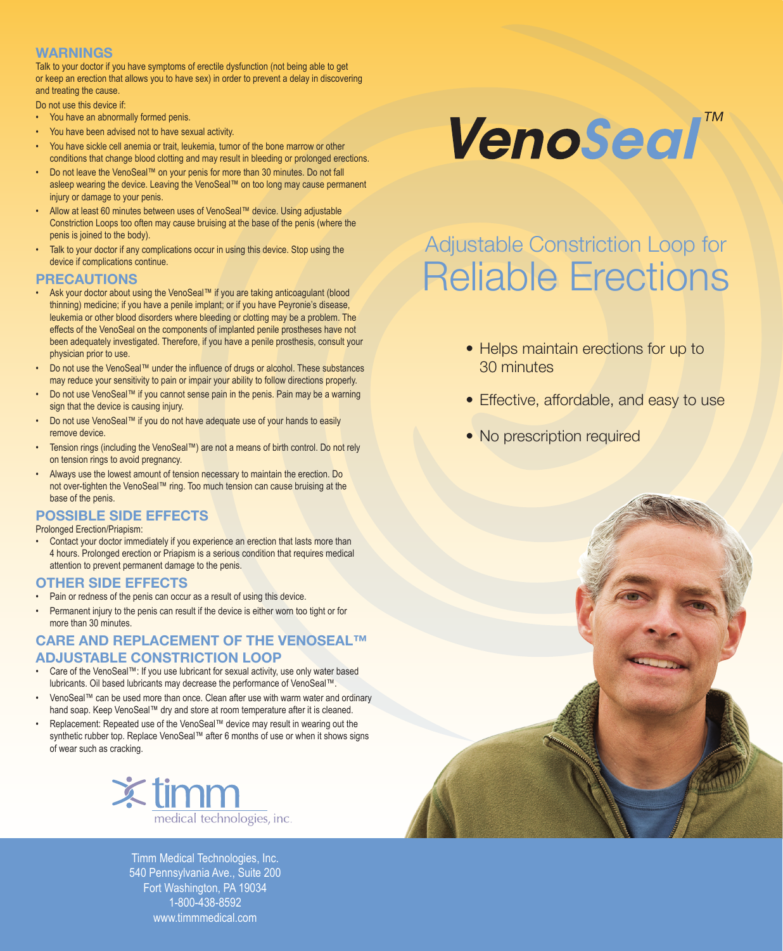#### **WARNINGS**

Talk to your doctor if you have symptoms of erectile dysfunction (not being able to get or keep an erection that allows you to have sex) in order to prevent a delay in discovering and treating the cause.

Do not use this device if:

- You have an abnormally formed penis.
- You have been advised not to have sexual activity.
- You have sickle cell anemia or trait, leukemia, tumor of the bone marrow or other conditions that change blood clotting and may result in bleeding or prolonged erections.
- Do not leave the VenoSeal™ on your penis for more than 30 minutes. Do not fall asleep wearing the device. Leaving the VenoSeal™ on too long may cause permanent injury or damage to your penis.
- Allow at least 60 minutes between uses of VenoSeal™ device. Using adjustable Constriction Loops too often may cause bruising at the base of the penis (where the penis is joined to the body).
- Talk to your doctor if any complications occur in using this device. Stop using the device if complications continue.

#### **PRECAUTIONS**

- Ask your doctor about using the VenoSeal™ if you are taking anticoagulant (blood thinning) medicine; if you have a penile implant; or if you have Peyronie's disease, leukemia or other blood disorders where bleeding or clotting may be a problem. The effects of the VenoSeal on the components of implanted penile prostheses have not been adequately investigated. Therefore, if you have a penile prosthesis, consult your physician prior to use.
- Do not use the VenoSeal™ under the influence of drugs or alcohol. These substances may reduce your sensitivity to pain or impair your ability to follow directions properly.
- Do not use VenoSeal™ if you cannot sense pain in the penis. Pain may be a warning sign that the device is causing injury.
- Do not use VenoSeal™ if you do not have adequate use of your hands to easily remove device.
- Tension rings (including the VenoSeal™) are not a means of birth control. Do not rely on tension rings to avoid pregnancy.
- Always use the lowest amount of tension necessary to maintain the erection. Do not over-tighten the VenoSeal™ ring. Too much tension can cause bruising at the base of the penis.

### **POSSIBLE SIDE EFFECTS**

Prolonged Erection/Priapism:

• Contact your doctor immediately if you experience an erection that lasts more than 4 hours. Prolonged erection or Priapism is a serious condition that requires medical attention to prevent permanent damage to the penis.

#### **OTHER SIDE EFFECTS**

- Pain or redness of the penis can occur as a result of using this device.
- Permanent injury to the penis can result if the device is either worn too tight or for more than 30 minutes.

#### **CARE AND REPLACEMENT OF THE VENOSEAL™ ADJUSTABLE CONSTRICTION LOOP**

- Care of the VenoSeal™: If you use lubricant for sexual activity, use only water based lubricants. Oil based lubricants may decrease the performance of VenoSeal™.
- VenoSeal™ can be used more than once. Clean after use with warm water and ordinary hand soap. Keep VenoSeal™ dry and store at room temperature after it is cleaned.
- Replacement: Repeated use of the VenoSeal™ device may result in wearing out the synthetic rubber top. Replace VenoSeal™ after 6 months of use or when it shows signs of wear such as cracking.



Timm Medical Technologies, Inc. 540 Pennsylvania Ave., Suite 200 Fort Washington, PA 19034 1-800-438-8592 www.timmmedical.com

# **VenoSeal**<sup>™</sup>

## Adjustable Constriction Loop for Reliable Erections

- Helps maintain erections for up to 30 minutes
- Effective, affordable, and easy to use
- No prescription required